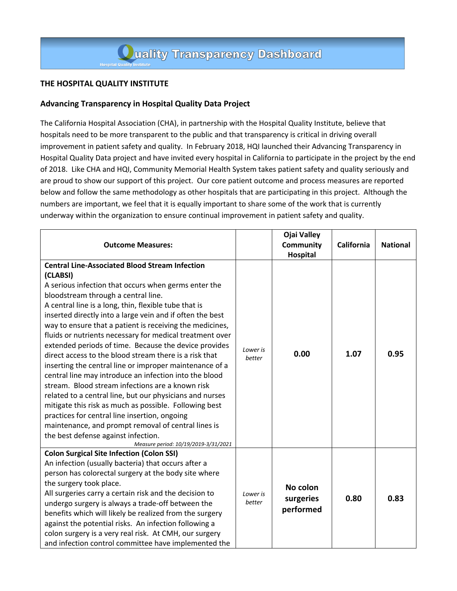## **THE HOSPITAL QUALITY INSTITUTE**

## **Advancing Transparency in Hospital Quality Data Project**

The California Hospital Association (CHA), in partnership with the Hospital Quality Institute, believe that hospitals need to be more transparent to the public and that transparency is critical in driving overall improvement in patient safety and quality. In February 2018, HQI launched their Advancing Transparency in Hospital Quality Data project and have invited every hospital in California to participate in the project by the end of 2018. Like CHA and HQI, Community Memorial Health System takes patient safety and quality seriously and are proud to show our support of this project. Our core patient outcome and process measures are reported below and follow the same methodology as other hospitals that are participating in this project. Although the numbers are important, we feel that it is equally important to share some of the work that is currently underway within the organization to ensure continual improvement in patient safety and quality.

| <b>Outcome Measures:</b>                                                                                                                                                                                                                                                                                                                                                                                                                                                                                                                                                                                                                                                                                                                                                                                                                                                                                                                                                                                                |                    | <b>Ojai Valley</b><br><b>Community</b><br><b>Hospital</b> | California | <b>National</b> |
|-------------------------------------------------------------------------------------------------------------------------------------------------------------------------------------------------------------------------------------------------------------------------------------------------------------------------------------------------------------------------------------------------------------------------------------------------------------------------------------------------------------------------------------------------------------------------------------------------------------------------------------------------------------------------------------------------------------------------------------------------------------------------------------------------------------------------------------------------------------------------------------------------------------------------------------------------------------------------------------------------------------------------|--------------------|-----------------------------------------------------------|------------|-----------------|
| <b>Central Line-Associated Blood Stream Infection</b><br>(CLABSI)<br>A serious infection that occurs when germs enter the<br>bloodstream through a central line.<br>A central line is a long, thin, flexible tube that is<br>inserted directly into a large vein and if often the best<br>way to ensure that a patient is receiving the medicines,<br>fluids or nutrients necessary for medical treatment over<br>extended periods of time. Because the device provides<br>direct access to the blood stream there is a risk that<br>inserting the central line or improper maintenance of a<br>central line may introduce an infection into the blood<br>stream. Blood stream infections are a known risk<br>related to a central line, but our physicians and nurses<br>mitigate this risk as much as possible. Following best<br>practices for central line insertion, ongoing<br>maintenance, and prompt removal of central lines is<br>the best defense against infection.<br>Measure period: 10/19/2019-3/31/2021 | Lower is<br>better | 0.00                                                      | 1.07       | 0.95            |
| <b>Colon Surgical Site Infection (Colon SSI)</b><br>An infection (usually bacteria) that occurs after a<br>person has colorectal surgery at the body site where<br>the surgery took place.<br>All surgeries carry a certain risk and the decision to<br>undergo surgery is always a trade-off between the<br>benefits which will likely be realized from the surgery<br>against the potential risks. An infection following a<br>colon surgery is a very real risk. At CMH, our surgery<br>and infection control committee have implemented the                                                                                                                                                                                                                                                                                                                                                                                                                                                                         | Lower is<br>better | No colon<br>surgeries<br>performed                        | 0.80       | 0.83            |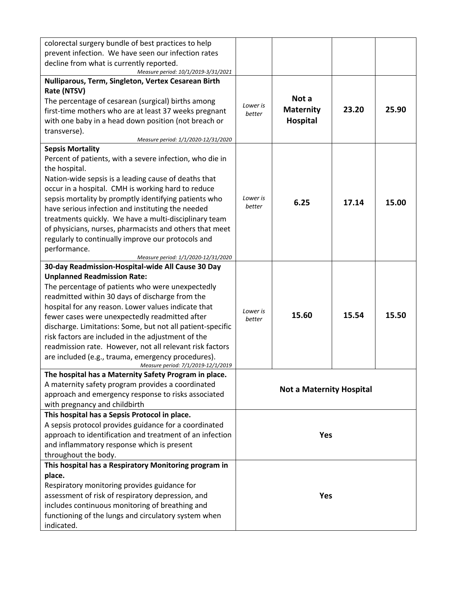| colorectal surgery bundle of best practices to help<br>prevent infection. We have seen our infection rates<br>decline from what is currently reported.                                                                                                                                                                                                                                                                                                                                                                                                                              |                                 |                                       |       |       |
|-------------------------------------------------------------------------------------------------------------------------------------------------------------------------------------------------------------------------------------------------------------------------------------------------------------------------------------------------------------------------------------------------------------------------------------------------------------------------------------------------------------------------------------------------------------------------------------|---------------------------------|---------------------------------------|-------|-------|
| Measure period: 10/1/2019-3/31/2021                                                                                                                                                                                                                                                                                                                                                                                                                                                                                                                                                 |                                 |                                       |       |       |
| Nulliparous, Term, Singleton, Vertex Cesarean Birth<br>Rate (NTSV)<br>The percentage of cesarean (surgical) births among<br>first-time mothers who are at least 37 weeks pregnant<br>with one baby in a head down position (not breach or<br>transverse).<br>Measure period: 1/1/2020-12/31/2020                                                                                                                                                                                                                                                                                    | Lower is<br>better              | Not a<br><b>Maternity</b><br>Hospital | 23.20 | 25.90 |
| <b>Sepsis Mortality</b><br>Percent of patients, with a severe infection, who die in<br>the hospital.<br>Nation-wide sepsis is a leading cause of deaths that<br>occur in a hospital. CMH is working hard to reduce<br>sepsis mortality by promptly identifying patients who<br>have serious infection and instituting the needed<br>treatments quickly. We have a multi-disciplinary team<br>of physicians, nurses, pharmacists and others that meet<br>regularly to continually improve our protocols and<br>performance.<br>Measure period: 1/1/2020-12/31/2020                   | Lower is<br>better              | 6.25                                  | 17.14 | 15.00 |
| 30-day Readmission-Hospital-wide All Cause 30 Day<br><b>Unplanned Readmission Rate:</b><br>The percentage of patients who were unexpectedly<br>readmitted within 30 days of discharge from the<br>hospital for any reason. Lower values indicate that<br>fewer cases were unexpectedly readmitted after<br>discharge. Limitations: Some, but not all patient-specific<br>risk factors are included in the adjustment of the<br>readmission rate. However, not all relevant risk factors<br>are included (e.g., trauma, emergency procedures).<br>Measure period: 7/1/2019-12/1/2019 | Lower is<br>better              | 15.60                                 | 15.54 | 15.50 |
| The hospital has a Maternity Safety Program in place.<br>A maternity safety program provides a coordinated<br>approach and emergency response to risks associated<br>with pregnancy and childbirth                                                                                                                                                                                                                                                                                                                                                                                  | <b>Not a Maternity Hospital</b> |                                       |       |       |
| This hospital has a Sepsis Protocol in place.<br>A sepsis protocol provides guidance for a coordinated<br>approach to identification and treatment of an infection<br>and inflammatory response which is present<br>throughout the body.                                                                                                                                                                                                                                                                                                                                            | <b>Yes</b>                      |                                       |       |       |
| This hospital has a Respiratory Monitoring program in<br>place.<br>Respiratory monitoring provides guidance for<br>assessment of risk of respiratory depression, and<br>includes continuous monitoring of breathing and<br>functioning of the lungs and circulatory system when<br>indicated.                                                                                                                                                                                                                                                                                       |                                 | <b>Yes</b>                            |       |       |